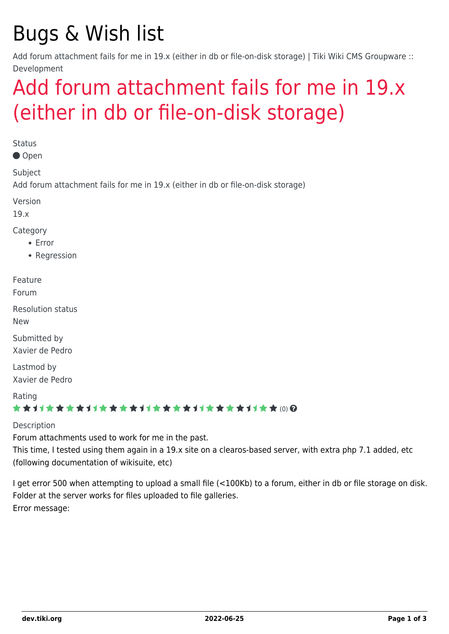# Bugs & Wish list

Add forum attachment fails for me in 19.x (either in db or file-on-disk storage) | Tiki Wiki CMS Groupware :: Development

## [Add forum attachment fails for me in 19.x](https://dev.tiki.org/item6972-Add-forum-attachment-fails-for-me-in-19-x-either-in-db-or-file-on-disk-storage) [\(either in db or file-on-disk storage\)](https://dev.tiki.org/item6972-Add-forum-attachment-fails-for-me-in-19-x-either-in-db-or-file-on-disk-storage)

**Status** 

Open

Subject

Add forum attachment fails for me in 19.x (either in db or file-on-disk storage)

Version

19.x

Category

- Error
- Regression

Feature

Forum

Resolution status New

Submitted by Xavier de Pedro

Lastmod by Xavier de Pedro

Rating

#### \*\*\*\*\*\*\*\*\*\*\*\*\*\*\*\*\*\*\*\*\*\*\*\*\*\*\*\*\*\*

Description

Forum attachments used to work for me in the past.

This time, I tested using them again in a 19.x site on a clearos-based server, with extra php 7.1 added, etc (following documentation of wikisuite, etc)

I get error 500 when attempting to upload a small file (<100Kb) to a forum, either in db or file storage on disk. Folder at the server works for files uploaded to file galleries. Error message: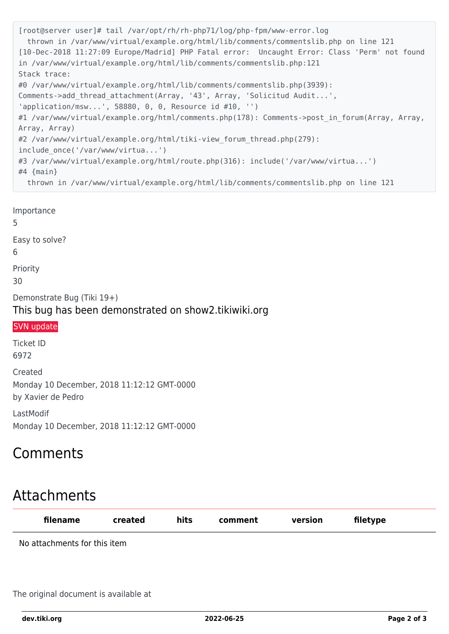```
[root@server user]# tail /var/opt/rh/rh-php71/log/php-fpm/www-error.log
  thrown in /var/www/virtual/example.org/html/lib/comments/commentslib.php on line 121
[10-Dec-2018 11:27:09 Europe/Madrid] PHP Fatal error: Uncaught Error: Class 'Perm' not found
in /var/www/virtual/example.org/html/lib/comments/commentslib.php:121
Stack trace:
#0 /var/www/virtual/example.org/html/lib/comments/commentslib.php(3939):
Comments->add thread attachment(Array, '43', Array, 'Solicitud Audit...',
'application/msw...', 58880, 0, 0, Resource id #10, '')
#1 /var/www/virtual/example.org/html/comments.php(178): Comments->post in forum(Array, Array,
Array, Array)
#2 /var/www/virtual/example.org/html/tiki-view forum thread.php(279):
include_once('/var/www/virtua...')
#3 /var/www/virtual/example.org/html/route.php(316): include('/var/www/virtua...')
#4 {main}
  thrown in /var/www/virtual/example.org/html/lib/comments/commentslib.php on line 121
```
Importance 5 Easy to solve? 6 Priority 30 Demonstrate Bug (Tiki 19+) This bug has been demonstrated on show2.tikiwiki.org

#### [SVN update](#page--1-0)

Ticket ID 6972

Created Monday 10 December, 2018 11:12:12 GMT-0000 by Xavier de Pedro

LastModif Monday 10 December, 2018 11:12:12 GMT-0000

### Comments

## Attachments

| filename                     | created | hits | comment | version | filetype |
|------------------------------|---------|------|---------|---------|----------|
| No attachments for this item |         |      |         |         |          |

The original document is available at